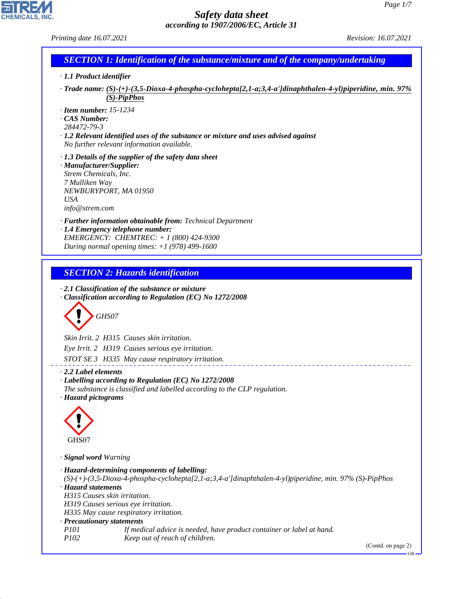CHEMICALS, INC.

44.1.1

|                                                                                                     | <b>SECTION 1: Identification of the substance/mixture and of the company/undertaking</b>                                                                                                        |  |
|-----------------------------------------------------------------------------------------------------|-------------------------------------------------------------------------------------------------------------------------------------------------------------------------------------------------|--|
| · 1.1 Product identifier                                                                            |                                                                                                                                                                                                 |  |
|                                                                                                     | Trade name: (S)-(+)-(3,5-Dioxa-4-phospha-cyclohepta[2,1-a;3,4-a']dinaphthalen-4-yl)piperidine, min. 97%<br>$(S)$ -PipPhos                                                                       |  |
| $\cdot$ Item number: 15-1234<br>$\cdot$ CAS Number:<br>284472-79-3                                  | $\cdot$ 1.2 Relevant identified uses of the substance or mixture and uses advised against<br>No further relevant information available.                                                         |  |
| · Manufacturer/Supplier:<br>Strem Chemicals, Inc.<br>7 Mulliken Way<br><b>USA</b><br>info@strem.com | $\cdot$ 1.3 Details of the supplier of the safety data sheet<br>NEWBURYPORT, MA 01950                                                                                                           |  |
|                                                                                                     | · Further information obtainable from: Technical Department<br>· 1.4 Emergency telephone number:<br>EMERGENCY: CHEMTREC: + 1 (800) 424-9300<br>During normal opening times: $+1$ (978) 499-1600 |  |
|                                                                                                     |                                                                                                                                                                                                 |  |
|                                                                                                     |                                                                                                                                                                                                 |  |
|                                                                                                     | <b>SECTION 2: Hazards identification</b><br>$\cdot$ 2.1 Classification of the substance or mixture                                                                                              |  |
| GHS07                                                                                               | · Classification according to Regulation (EC) No 1272/2008                                                                                                                                      |  |
|                                                                                                     |                                                                                                                                                                                                 |  |
|                                                                                                     | Skin Irrit. 2 H315 Causes skin irritation.                                                                                                                                                      |  |
|                                                                                                     | Eye Irrit. 2 H319 Causes serious eye irritation.                                                                                                                                                |  |
| $\cdot$ 2.2 Label elements                                                                          | STOT SE 3 H335 May cause respiratory irritation.<br>· Labelling according to Regulation (EC) No 1272/2008<br>The substance is classified and labelled according to the CLP regulation.          |  |
| · Hazard pictograms                                                                                 |                                                                                                                                                                                                 |  |
|                                                                                                     |                                                                                                                                                                                                 |  |
| GHS07                                                                                               |                                                                                                                                                                                                 |  |
|                                                                                                     |                                                                                                                                                                                                 |  |
| · Signal word Warning                                                                               |                                                                                                                                                                                                 |  |
|                                                                                                     | · Hazard-determining components of labelling:<br>$(S)-(+)$ - $(3,5-Dioxa-4-phospha-cyclohepta[2,1-a;3,4-a']$ dinaphthalen-4-yl)piperidine, min. 97% (S)-PipPhos                                 |  |
| · Hazard statements<br>H315 Causes skin irritation.                                                 | H319 Causes serious eye irritation.                                                                                                                                                             |  |
|                                                                                                     | H335 May cause respiratory irritation.                                                                                                                                                          |  |
| · Precautionary statements                                                                          |                                                                                                                                                                                                 |  |
| <i>P101</i><br>P <sub>102</sub>                                                                     | If medical advice is needed, have product container or label at hand.<br>Keep out of reach of children.                                                                                         |  |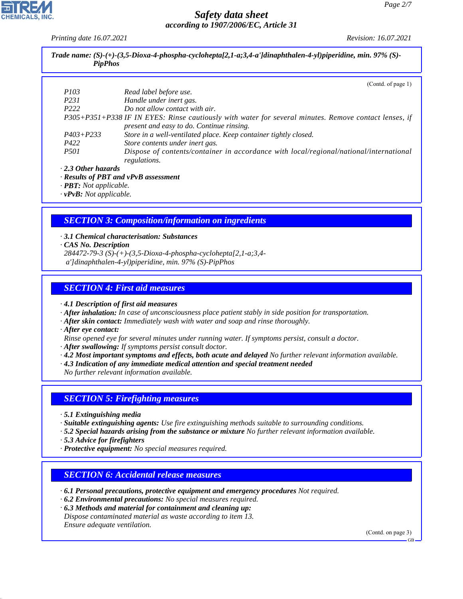*Printing date 16.07.2021 Revision: 16.07.2021*

| Trade name: $(S)$ - $(+)$ - $(3,5$ -Dioxa-4-phospha-cyclohepta[2,1-a;3,4-a']dinaphthalen-4-yl)piperidine, min. 97% (S)-<br><b>PipPhos</b> |                                                                                                                                                    |  |  |  |
|-------------------------------------------------------------------------------------------------------------------------------------------|----------------------------------------------------------------------------------------------------------------------------------------------------|--|--|--|
|                                                                                                                                           | (Contd. of page 1)                                                                                                                                 |  |  |  |
| <i>P103</i>                                                                                                                               | Read label before use.                                                                                                                             |  |  |  |
| P <sub>231</sub>                                                                                                                          | Handle under inert gas.                                                                                                                            |  |  |  |
| P <sub>222</sub>                                                                                                                          | Do not allow contact with air.                                                                                                                     |  |  |  |
|                                                                                                                                           | P305+P351+P338 IF IN EYES: Rinse cautiously with water for several minutes. Remove contact lenses, if<br>present and easy to do. Continue rinsing. |  |  |  |
| $P403 + P233$                                                                                                                             | Store in a well-ventilated place. Keep container tightly closed.                                                                                   |  |  |  |
| P422                                                                                                                                      | Store contents under inert gas.                                                                                                                    |  |  |  |
| <i>P501</i>                                                                                                                               | Dispose of contents/container in accordance with local/regional/national/international<br>regulations.                                             |  |  |  |
| $\cdot$ 2.3 Other hazards                                                                                                                 | · Results of PBT and vPvB assessment                                                                                                               |  |  |  |

*· PBT: Not applicable.*

*· vPvB: Not applicable.*

# *SECTION 3: Composition/information on ingredients*

- *· 3.1 Chemical characterisation: Substances · CAS No. Description*
- *284472-79-3 (S)-(+)-(3,5-Dioxa-4-phospha-cyclohepta[2,1-a;3,4 a']dinaphthalen-4-yl)piperidine, min. 97% (S)-PipPhos*

# *SECTION 4: First aid measures*

*· 4.1 Description of first aid measures*

- *· After inhalation: In case of unconsciousness place patient stably in side position for transportation.*
- *· After skin contact: Immediately wash with water and soap and rinse thoroughly.*
- *· After eye contact:*
- *Rinse opened eye for several minutes under running water. If symptoms persist, consult a doctor.*
- *· After swallowing: If symptoms persist consult doctor.*
- *· 4.2 Most important symptoms and effects, both acute and delayed No further relevant information available.*
- *· 4.3 Indication of any immediate medical attention and special treatment needed*

*No further relevant information available.*

# *SECTION 5: Firefighting measures*

- *· 5.1 Extinguishing media*
- *· Suitable extinguishing agents: Use fire extinguishing methods suitable to surrounding conditions.*
- *· 5.2 Special hazards arising from the substance or mixture No further relevant information available.*
- *· 5.3 Advice for firefighters*

44.1.1

*· Protective equipment: No special measures required.*

# *SECTION 6: Accidental release measures*

- *· 6.1 Personal precautions, protective equipment and emergency procedures Not required.*
- *· 6.2 Environmental precautions: No special measures required.*
- *· 6.3 Methods and material for containment and cleaning up: Dispose contaminated material as waste according to item 13. Ensure adequate ventilation.*

(Contd. on page 3)

GB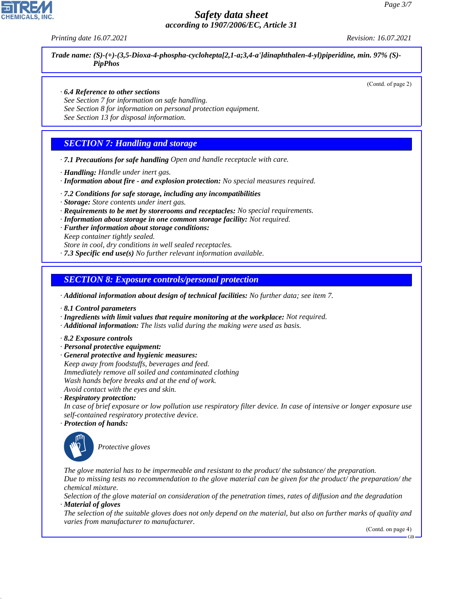*Printing date 16.07.2021 Revision: 16.07.2021*

*Trade name: (S)-(+)-(3,5-Dioxa-4-phospha-cyclohepta[2,1-a;3,4-a']dinaphthalen-4-yl)piperidine, min. 97% (S)- PipPhos*

(Contd. of page 2)

- *· 6.4 Reference to other sections*
- *See Section 7 for information on safe handling.*
- *See Section 8 for information on personal protection equipment.*
- *See Section 13 for disposal information.*

# *SECTION 7: Handling and storage*

- *· 7.1 Precautions for safe handling Open and handle receptacle with care.*
- *· Handling: Handle under inert gas.*
- *· Information about fire and explosion protection: No special measures required.*
- *· 7.2 Conditions for safe storage, including any incompatibilities*
- *· Storage: Store contents under inert gas.*
- *· Requirements to be met by storerooms and receptacles: No special requirements.*
- *· Information about storage in one common storage facility: Not required.*
- *· Further information about storage conditions: Keep container tightly sealed.*
	- *Store in cool, dry conditions in well sealed receptacles.*
- *· 7.3 Specific end use(s) No further relevant information available.*

#### *SECTION 8: Exposure controls/personal protection*

*· Additional information about design of technical facilities: No further data; see item 7.*

- *· 8.1 Control parameters*
- *· Ingredients with limit values that require monitoring at the workplace: Not required.*
- *· Additional information: The lists valid during the making were used as basis.*
- *· 8.2 Exposure controls*
- *· Personal protective equipment:*
- *· General protective and hygienic measures: Keep away from foodstuffs, beverages and feed. Immediately remove all soiled and contaminated clothing Wash hands before breaks and at the end of work. Avoid contact with the eyes and skin.*
- *· Respiratory protection:*
- *In case of brief exposure or low pollution use respiratory filter device. In case of intensive or longer exposure use self-contained respiratory protective device.*
- *· Protection of hands:*



44.1.1

\_S*Protective gloves*

*The glove material has to be impermeable and resistant to the product/ the substance/ the preparation. Due to missing tests no recommendation to the glove material can be given for the product/ the preparation/ the chemical mixture.*

*Selection of the glove material on consideration of the penetration times, rates of diffusion and the degradation · Material of gloves*

*The selection of the suitable gloves does not only depend on the material, but also on further marks of quality and varies from manufacturer to manufacturer.*

(Contd. on page 4)

GB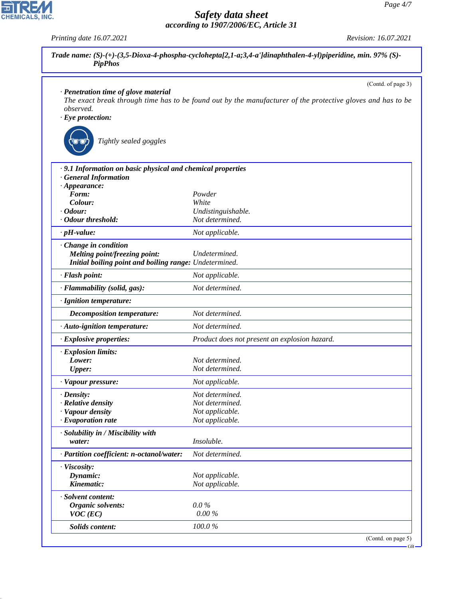|                                                            | (Contd. of page 3)                                                                                          |
|------------------------------------------------------------|-------------------------------------------------------------------------------------------------------------|
| · Penetration time of glove material                       | The exact break through time has to be found out by the manufacturer of the protective gloves and has to be |
| observed.                                                  |                                                                                                             |
| $\cdot$ Eye protection:                                    |                                                                                                             |
|                                                            |                                                                                                             |
| Tightly sealed goggles                                     |                                                                                                             |
|                                                            |                                                                                                             |
| .9.1 Information on basic physical and chemical properties |                                                                                                             |
| · General Information                                      |                                                                                                             |
| $\cdot$ Appearance:<br>Form:                               | Powder                                                                                                      |
| Colour:                                                    | White                                                                                                       |
| $\cdot$ Odour:                                             | Undistinguishable.                                                                                          |
| · Odour threshold:                                         | Not determined.                                                                                             |
| $\cdot$ pH-value:                                          | Not applicable.                                                                                             |
| Change in condition                                        |                                                                                                             |
| <b>Melting point/freezing point:</b>                       | Undetermined.                                                                                               |
| Initial boiling point and boiling range: Undetermined.     |                                                                                                             |
| · Flash point:                                             | Not applicable.                                                                                             |
| · Flammability (solid, gas):                               | Not determined.                                                                                             |
| · Ignition temperature:                                    |                                                                                                             |
| <b>Decomposition temperature:</b>                          | Not determined.                                                                                             |
| · Auto-ignition temperature:                               | Not determined.                                                                                             |
| · Explosive properties:                                    | Product does not present an explosion hazard.                                                               |
| · Explosion limits:                                        |                                                                                                             |
| Lower:                                                     | Not determined.                                                                                             |
| Upper:                                                     | Not determined.                                                                                             |
| · Vapour pressure:                                         | Not applicable.                                                                                             |
| $\cdot$ Density:                                           | Not determined.                                                                                             |
| · Relative density                                         | Not determined.                                                                                             |
| · Vapour density                                           | Not applicable.                                                                                             |
| $\cdot$ Evaporation rate                                   | Not applicable.                                                                                             |
| · Solubility in / Miscibility with                         |                                                                                                             |
| water:                                                     | Insoluble.                                                                                                  |
| · Partition coefficient: n-octanol/water:                  | Not determined.                                                                                             |
| · Viscosity:                                               |                                                                                                             |
| Dynamic:                                                   | Not applicable.                                                                                             |
| Kinematic:                                                 | Not applicable.                                                                                             |
| · Solvent content:                                         |                                                                                                             |
| Organic solvents:                                          | $0.0\%$                                                                                                     |
| $VOC$ (EC)                                                 | 0.00%                                                                                                       |
| <b>Solids content:</b>                                     | 100.0%                                                                                                      |



44.1.1

*Printing date 16.07.2021 Revision: 16.07.2021*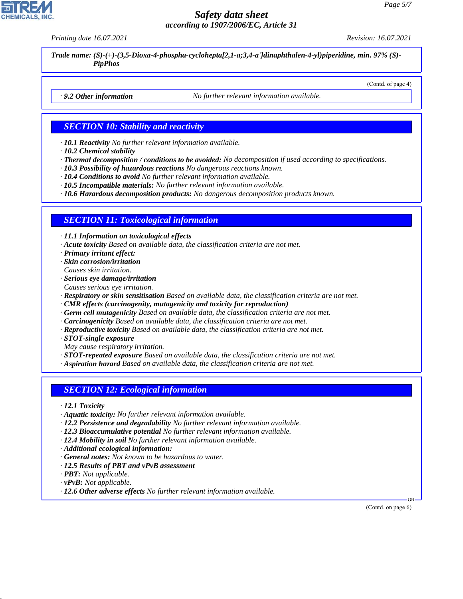*Printing date 16.07.2021 Revision: 16.07.2021*

(Contd. of page 4)

*Trade name: (S)-(+)-(3,5-Dioxa-4-phospha-cyclohepta[2,1-a;3,4-a']dinaphthalen-4-yl)piperidine, min. 97% (S)- PipPhos*

*· 9.2 Other information No further relevant information available.*

# *SECTION 10: Stability and reactivity*

*· 10.1 Reactivity No further relevant information available.*

- *· 10.2 Chemical stability*
- *· Thermal decomposition / conditions to be avoided: No decomposition if used according to specifications.*
- *· 10.3 Possibility of hazardous reactions No dangerous reactions known.*
- *· 10.4 Conditions to avoid No further relevant information available.*
- *· 10.5 Incompatible materials: No further relevant information available.*
- *· 10.6 Hazardous decomposition products: No dangerous decomposition products known.*

#### *SECTION 11: Toxicological information*

*· 11.1 Information on toxicological effects*

- *· Acute toxicity Based on available data, the classification criteria are not met.*
- *· Primary irritant effect:*
- *· Skin corrosion/irritation Causes skin irritation.*
- *· Serious eye damage/irritation*
- *Causes serious eye irritation.*
- *· Respiratory or skin sensitisation Based on available data, the classification criteria are not met.*
- *· CMR effects (carcinogenity, mutagenicity and toxicity for reproduction)*
- *· Germ cell mutagenicity Based on available data, the classification criteria are not met.*
- *· Carcinogenicity Based on available data, the classification criteria are not met.*
- *· Reproductive toxicity Based on available data, the classification criteria are not met.*
- *· STOT-single exposure*
- *May cause respiratory irritation.*

*· STOT-repeated exposure Based on available data, the classification criteria are not met.*

*· Aspiration hazard Based on available data, the classification criteria are not met.*

#### *SECTION 12: Ecological information*

- *· 12.1 Toxicity*
- *· Aquatic toxicity: No further relevant information available.*
- *· 12.2 Persistence and degradability No further relevant information available.*
- *· 12.3 Bioaccumulative potential No further relevant information available.*
- *· 12.4 Mobility in soil No further relevant information available.*
- *· Additional ecological information:*
- *· General notes: Not known to be hazardous to water.*
- *· 12.5 Results of PBT and vPvB assessment*
- *· PBT: Not applicable.*
- *· vPvB: Not applicable.*

44.1.1

*· 12.6 Other adverse effects No further relevant information available.*

(Contd. on page 6)

GB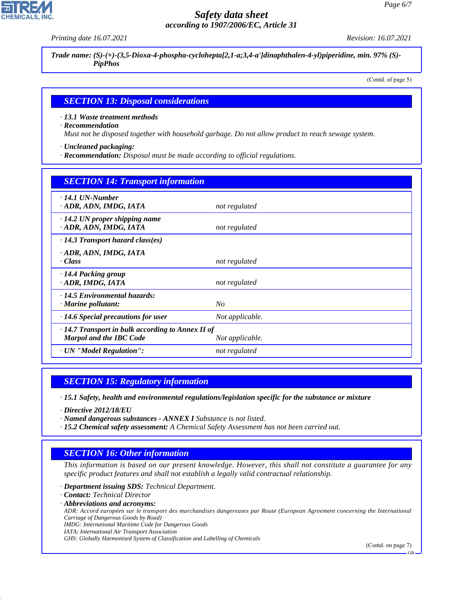*Printing date 16.07.2021 Revision: 16.07.2021*

*Trade name: (S)-(+)-(3,5-Dioxa-4-phospha-cyclohepta[2,1-a;3,4-a']dinaphthalen-4-yl)piperidine, min. 97% (S)- PipPhos*

(Contd. of page 5)

#### *SECTION 13: Disposal considerations*

*· 13.1 Waste treatment methods*

*· Recommendation*

*Must not be disposed together with household garbage. Do not allow product to reach sewage system.*

*· Uncleaned packaging:*

*· Recommendation: Disposal must be made according to official regulations.*

| <b>SECTION 14: Transport information</b>                                                                     |                 |  |
|--------------------------------------------------------------------------------------------------------------|-----------------|--|
| $\cdot$ 14.1 UN-Number<br>· ADR, ADN, IMDG, IATA                                                             | not regulated   |  |
| $\cdot$ 14.2 UN proper shipping name<br>· ADR, ADN, IMDG, IATA                                               | not regulated   |  |
| $\cdot$ 14.3 Transport hazard class(es)                                                                      |                 |  |
| · ADR, ADN, IMDG, IATA<br>· Class                                                                            | not regulated   |  |
| $\cdot$ 14.4 Packing group<br>ADR, IMDG, IATA                                                                | not regulated   |  |
| $\cdot$ 14.5 Environmental hazards:<br>· Marine pollutant:                                                   | No              |  |
| $\cdot$ 14.6 Special precautions for user                                                                    | Not applicable. |  |
| $\cdot$ 14.7 Transport in bulk according to Annex II of<br><b>Marpol and the IBC Code</b><br>Not applicable. |                 |  |
| · UN "Model Regulation":                                                                                     | not regulated   |  |

# *SECTION 15: Regulatory information*

*· 15.1 Safety, health and environmental regulations/legislation specific for the substance or mixture*

*· Directive 2012/18/EU*

- *· Named dangerous substances ANNEX I Substance is not listed.*
- *· 15.2 Chemical safety assessment: A Chemical Safety Assessment has not been carried out.*

# *SECTION 16: Other information*

*This information is based on our present knowledge. However, this shall not constitute a guarantee for any specific product features and shall not establish a legally valid contractual relationship.*

*· Department issuing SDS: Technical Department.*

*· Contact: Technical Director*

44.1.1

*· Abbreviations and acronyms:*

*ADR: Accord européen sur le transport des marchandises dangereuses par Route (European Agreement concerning the International Carriage of Dangerous Goods by Road)*

*IMDG: International Maritime Code for Dangerous Goods*

*IATA: International Air Transport Association*

*GHS: Globally Harmonised System of Classification and Labelling of Chemicals*

(Contd. on page 7)

GB